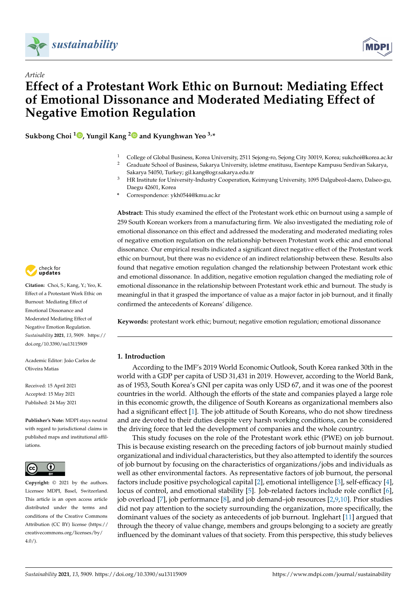

*Article*



# **Effect of a Protestant Work Ethic on Burnout: Mediating Effect of Emotional Dissonance and Moderated Mediating Effect of Negative Emotion Regulation**

**Sukbong Choi <sup>1</sup> [,](https://orcid.org/0000-0001-8927-3985) Yungil Kang [2](https://orcid.org/0000-0001-7771-4579) and Kyunghwan Yeo 3,\***

- <sup>1</sup> College of Global Business, Korea University, 2511 Sejong-ro, Sejong City 30019, Korea; sukchoi@korea.ac.kr <sup>2</sup> Graduate School of Business, Sakarya University, isletme enstitusu, Esentepe Kampusu Serdivan Sakarya,
	- Sakarya 54050, Turkey; gil.kang@ogr.sakarya.edu.tr
- <sup>3</sup> HR Institute for University-Industry Cooperation, Keimyung University, 1095 Dalgubeol-daero, Dalseo-gu, Daegu 42601, Korea
- **\*** Correspondence: ykh0544@kmu.ac.kr

**Abstract:** This study examined the effect of the Protestant work ethic on burnout using a sample of 259 South Korean workers from a manufacturing firm. We also investigated the mediating role of emotional dissonance on this effect and addressed the moderating and moderated mediating roles of negative emotion regulation on the relationship between Protestant work ethic and emotional dissonance. Our empirical results indicated a significant direct negative effect of the Protestant work ethic on burnout, but there was no evidence of an indirect relationship between these. Results also found that negative emotion regulation changed the relationship between Protestant work ethic and emotional dissonance. In addition, negative emotion regulation changed the mediating role of emotional dissonance in the relationship between Protestant work ethic and burnout. The study is meaningful in that it grasped the importance of value as a major factor in job burnout, and it finally confirmed the antecedents of Koreans' diligence.

**Keywords:** protestant work ethic; burnout; negative emotion regulation; emotional dissonance

# **1. Introduction**

According to the IMF's 2019 World Economic Outlook, South Korea ranked 30th in the world with a GDP per capita of USD 31,431 in 2019. However, according to the World Bank, as of 1953, South Korea's GNI per capita was only USD 67, and it was one of the poorest countries in the world. Although the efforts of the state and companies played a large role in this economic growth, the diligence of South Koreans as organizational members also had a significant effect [\[1\]](#page-10-0). The job attitude of South Koreans, who do not show tiredness and are devoted to their duties despite very harsh working conditions, can be considered the driving force that led the development of companies and the whole country.

This study focuses on the role of the Protestant work ethic (PWE) on job burnout. This is because existing research on the preceding factors of job burnout mainly studied organizational and individual characteristics, but they also attempted to identify the sources of job burnout by focusing on the characteristics of organizations/jobs and individuals as well as other environmental factors. As representative factors of job burnout, the personal factors include positive psychological capital [\[2\]](#page-10-1), emotional intelligence [\[3\]](#page-10-2), self-efficacy [\[4\]](#page-10-3), locus of control, and emotional stability [\[5\]](#page-10-4). Job-related factors include role conflict [\[6\]](#page-10-5), job overload [\[7\]](#page-10-6), job performance [\[8\]](#page-10-7), and job demand–job resources [\[2](#page-10-1)[,9,](#page-10-8)[10\]](#page-10-9). Prior studies did not pay attention to the society surrounding the organization, more specifically, the dominant values of the society as antecedents of job burnout. Inglehart [\[11\]](#page-11-0) argued that through the theory of value change, members and groups belonging to a society are greatly influenced by the dominant values of that society. From this perspective, this study believes



**Citation:** Choi, S.; Kang, Y.; Yeo, K. Effect of a Protestant Work Ethic on Burnout: Mediating Effect of Emotional Dissonance and Moderated Mediating Effect of Negative Emotion Regulation. *Sustainability* **2021**, *13*, 5909. [https://](https://doi.org/10.3390/su13115909) [doi.org/10.3390/su13115909](https://doi.org/10.3390/su13115909)

Academic Editor: João Carlos de Oliveira Matias

Received: 15 April 2021 Accepted: 15 May 2021 Published: 24 May 2021

**Publisher's Note:** MDPI stays neutral with regard to jurisdictional claims in published maps and institutional affiliations.



**Copyright:** © 2021 by the authors. Licensee MDPI, Basel, Switzerland. This article is an open access article distributed under the terms and conditions of the Creative Commons Attribution (CC BY) license (https:/[/](https://creativecommons.org/licenses/by/4.0/) [creativecommons.org/licenses/by/](https://creativecommons.org/licenses/by/4.0/)  $4.0/$ ).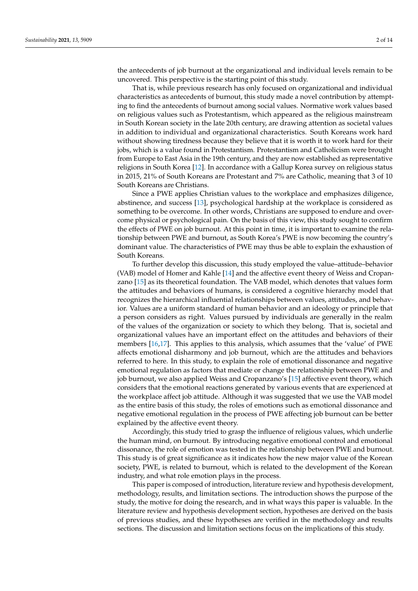the antecedents of job burnout at the organizational and individual levels remain to be uncovered. This perspective is the starting point of this study.

That is, while previous research has only focused on organizational and individual characteristics as antecedents of burnout, this study made a novel contribution by attempting to find the antecedents of burnout among social values. Normative work values based on religious values such as Protestantism, which appeared as the religious mainstream in South Korean society in the late 20th century, are drawing attention as societal values in addition to individual and organizational characteristics. South Koreans work hard without showing tiredness because they believe that it is worth it to work hard for their jobs, which is a value found in Protestantism. Protestantism and Catholicism were brought from Europe to East Asia in the 19th century, and they are now established as representative religions in South Korea [\[12\]](#page-11-1). In accordance with a Gallup Korea survey on religious status in 2015, 21% of South Koreans are Protestant and 7% are Catholic, meaning that 3 of 10 South Koreans are Christians.

Since a PWE applies Christian values to the workplace and emphasizes diligence, abstinence, and success [\[13\]](#page-11-2), psychological hardship at the workplace is considered as something to be overcome. In other words, Christians are supposed to endure and overcome physical or psychological pain. On the basis of this view, this study sought to confirm the effects of PWE on job burnout. At this point in time, it is important to examine the relationship between PWE and burnout, as South Korea's PWE is now becoming the country's dominant value. The characteristics of PWE may thus be able to explain the exhaustion of South Koreans.

To further develop this discussion, this study employed the value–attitude–behavior (VAB) model of Homer and Kahle [\[14\]](#page-11-3) and the affective event theory of Weiss and Cropanzano [\[15\]](#page-11-4) as its theoretical foundation. The VAB model, which denotes that values form the attitudes and behaviors of humans, is considered a cognitive hierarchy model that recognizes the hierarchical influential relationships between values, attitudes, and behavior. Values are a uniform standard of human behavior and an ideology or principle that a person considers as right. Values pursued by individuals are generally in the realm of the values of the organization or society to which they belong. That is, societal and organizational values have an important effect on the attitudes and behaviors of their members [\[16](#page-11-5)[,17\]](#page-11-6). This applies to this analysis, which assumes that the 'value' of PWE affects emotional disharmony and job burnout, which are the attitudes and behaviors referred to here. In this study, to explain the role of emotional dissonance and negative emotional regulation as factors that mediate or change the relationship between PWE and job burnout, we also applied Weiss and Cropanzano's [\[15\]](#page-11-4) affective event theory, which considers that the emotional reactions generated by various events that are experienced at the workplace affect job attitude. Although it was suggested that we use the VAB model as the entire basis of this study, the roles of emotions such as emotional dissonance and negative emotional regulation in the process of PWE affecting job burnout can be better explained by the affective event theory.

Accordingly, this study tried to grasp the influence of religious values, which underlie the human mind, on burnout. By introducing negative emotional control and emotional dissonance, the role of emotion was tested in the relationship between PWE and burnout. This study is of great significance as it indicates how the new major value of the Korean society, PWE, is related to burnout, which is related to the development of the Korean industry, and what role emotion plays in the process.

This paper is composed of introduction, literature review and hypothesis development, methodology, results, and limitation sections. The introduction shows the purpose of the study, the motive for doing the research, and in what ways this paper is valuable. In the literature review and hypothesis development section, hypotheses are derived on the basis of previous studies, and these hypotheses are verified in the methodology and results sections. The discussion and limitation sections focus on the implications of this study.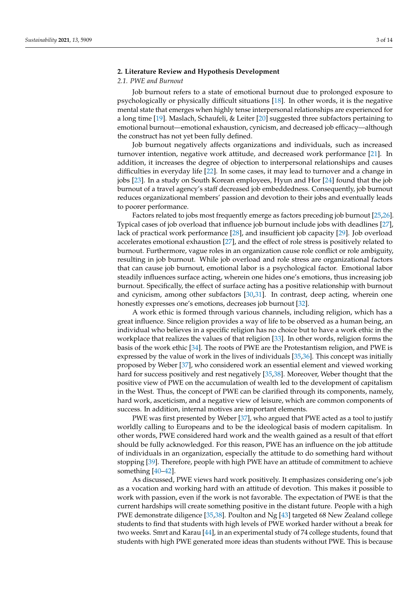# **2. Literature Review and Hypothesis Development**

# *2.1. PWE and Burnout*

Job burnout refers to a state of emotional burnout due to prolonged exposure to psychologically or physically difficult situations [\[18\]](#page-11-7). In other words, it is the negative mental state that emerges when highly tense interpersonal relationships are experienced for a long time [\[19\]](#page-11-8). Maslach, Schaufeli, & Leiter [\[20\]](#page-11-9) suggested three subfactors pertaining to emotional burnout—emotional exhaustion, cynicism, and decreased job efficacy—although the construct has not yet been fully defined.

Job burnout negatively affects organizations and individuals, such as increased turnover intention, negative work attitude, and decreased work performance [\[21\]](#page-11-10). In addition, it increases the degree of objection to interpersonal relationships and causes difficulties in everyday life [\[22\]](#page-11-11). In some cases, it may lead to turnover and a change in jobs [\[23\]](#page-11-12). In a study on South Korean employees, Hyun and Hor [\[24\]](#page-11-13) found that the job burnout of a travel agency's staff decreased job embeddedness. Consequently, job burnout reduces organizational members' passion and devotion to their jobs and eventually leads to poorer performance.

Factors related to jobs most frequently emerge as factors preceding job burnout [\[25](#page-11-14)[,26\]](#page-11-15). Typical cases of job overload that influence job burnout include jobs with deadlines [\[27\]](#page-11-16), lack of practical work performance [\[28\]](#page-11-17), and insufficient job capacity [\[29\]](#page-11-18). Job overload accelerates emotional exhaustion [\[27\]](#page-11-16), and the effect of role stress is positively related to burnout. Furthermore, vague roles in an organization cause role conflict or role ambiguity, resulting in job burnout. While job overload and role stress are organizational factors that can cause job burnout, emotional labor is a psychological factor. Emotional labor steadily influences surface acting, wherein one hides one's emotions, thus increasing job burnout. Specifically, the effect of surface acting has a positive relationship with burnout and cynicism, among other subfactors [\[30](#page-11-19)[,31\]](#page-11-20). In contrast, deep acting, wherein one honestly expresses one's emotions, decreases job burnout [\[32\]](#page-11-21).

A work ethic is formed through various channels, including religion, which has a great influence. Since religion provides a way of life to be observed as a human being, an individual who believes in a specific religion has no choice but to have a work ethic in the workplace that realizes the values of that religion [\[33\]](#page-11-22). In other words, religion forms the basis of the work ethic [\[34\]](#page-11-23). The roots of PWE are the Protestantism religion, and PWE is expressed by the value of work in the lives of individuals [\[35](#page-11-24)[,36\]](#page-11-25). This concept was initially proposed by Weber [\[37\]](#page-11-26), who considered work an essential element and viewed working hard for success positively and rest negatively [\[35,](#page-11-24)[38\]](#page-11-27). Moreover, Weber thought that the positive view of PWE on the accumulation of wealth led to the development of capitalism in the West. Thus, the concept of PWE can be clarified through its components, namely, hard work, asceticism, and a negative view of leisure, which are common components of success. In addition, internal motives are important elements.

PWE was first presented by Weber [\[37\]](#page-11-26), who argued that PWE acted as a tool to justify worldly calling to Europeans and to be the ideological basis of modern capitalism. In other words, PWE considered hard work and the wealth gained as a result of that effort should be fully acknowledged. For this reason, PWE has an influence on the job attitude of individuals in an organization, especially the attitude to do something hard without stopping [\[39\]](#page-11-28). Therefore, people with high PWE have an attitude of commitment to achieve something [\[40–](#page-11-29)[42\]](#page-11-30).

As discussed, PWE views hard work positively. It emphasizes considering one's job as a vocation and working hard with an attitude of devotion. This makes it possible to work with passion, even if the work is not favorable. The expectation of PWE is that the current hardships will create something positive in the distant future. People with a high PWE demonstrate diligence [\[35](#page-11-24)[,38\]](#page-11-27). Poulton and Ng [\[43\]](#page-11-31) targeted 68 New Zealand college students to find that students with high levels of PWE worked harder without a break for two weeks. Smrt and Karau [\[44\]](#page-11-32), in an experimental study of 74 college students, found that students with high PWE generated more ideas than students without PWE. This is because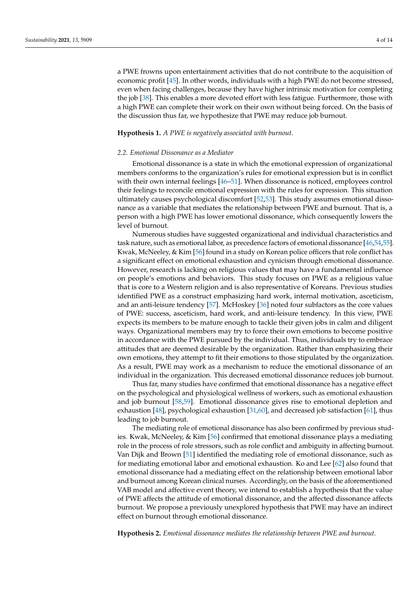a PWE frowns upon entertainment activities that do not contribute to the acquisition of economic profit [\[45\]](#page-11-33). In other words, individuals with a high PWE do not become stressed, even when facing challenges, because they have higher intrinsic motivation for completing the job [\[38\]](#page-11-27). This enables a more devoted effort with less fatigue. Furthermore, those with a high PWE can complete their work on their own without being forced. On the basis of the discussion thus far, we hypothesize that PWE may reduce job burnout.

# **Hypothesis 1.** *A PWE is negatively associated with burnout.*

## *2.2. Emotional Dissonance as a Mediator*

Emotional dissonance is a state in which the emotional expression of organizational members conforms to the organization's rules for emotional expression but is in conflict with their own internal feelings [\[46–](#page-12-0)[51\]](#page-12-1). When dissonance is noticed, employees control their feelings to reconcile emotional expression with the rules for expression. This situation ultimately causes psychological discomfort [\[52](#page-12-2)[,53\]](#page-12-3). This study assumes emotional dissonance as a variable that mediates the relationship between PWE and burnout. That is, a person with a high PWE has lower emotional dissonance, which consequently lowers the level of burnout.

Numerous studies have suggested organizational and individual characteristics and task nature, such as emotional labor, as precedence factors of emotional dissonance [\[46,](#page-12-0)[54](#page-12-4)[,55\]](#page-12-5). Kwak, McNeeley, & Kim [\[56\]](#page-12-6) found in a study on Korean police officers that role conflict has a significant effect on emotional exhaustion and cynicism through emotional dissonance. However, research is lacking on religious values that may have a fundamental influence on people's emotions and behaviors. This study focuses on PWE as a religious value that is core to a Western religion and is also representative of Koreans. Previous studies identified PWE as a construct emphasizing hard work, internal motivation, asceticism, and an anti-leisure tendency [\[57\]](#page-12-7). McHoskey [\[36\]](#page-11-25) noted four subfactors as the core values of PWE: success, asceticism, hard work, and anti-leisure tendency. In this view, PWE expects its members to be mature enough to tackle their given jobs in calm and diligent ways. Organizational members may try to force their own emotions to become positive in accordance with the PWE pursued by the individual. Thus, individuals try to embrace attitudes that are deemed desirable by the organization. Rather than emphasizing their own emotions, they attempt to fit their emotions to those stipulated by the organization. As a result, PWE may work as a mechanism to reduce the emotional dissonance of an individual in the organization. This decreased emotional dissonance reduces job burnout.

Thus far, many studies have confirmed that emotional dissonance has a negative effect on the psychological and physiological wellness of workers, such as emotional exhaustion and job burnout [\[58,](#page-12-8)[59\]](#page-12-9). Emotional dissonance gives rise to emotional depletion and exhaustion [\[48\]](#page-12-10), psychological exhaustion [\[31](#page-11-20)[,60\]](#page-12-11), and decreased job satisfaction [\[61\]](#page-12-12), thus leading to job burnout.

The mediating role of emotional dissonance has also been confirmed by previous studies. Kwak, McNeeley, & Kim [\[56\]](#page-12-6) confirmed that emotional dissonance plays a mediating role in the process of role stressors, such as role conflict and ambiguity in affecting burnout. Van Dijk and Brown [\[51\]](#page-12-1) identified the mediating role of emotional dissonance, such as for mediating emotional labor and emotional exhaustion. Ko and Lee [\[62\]](#page-12-13) also found that emotional dissonance had a mediating effect on the relationship between emotional labor and burnout among Korean clinical nurses. Accordingly, on the basis of the aforementioned VAB model and affective event theory, we intend to establish a hypothesis that the value of PWE affects the attitude of emotional dissonance, and the affected dissonance affects burnout. We propose a previously unexplored hypothesis that PWE may have an indirect effect on burnout through emotional dissonance.

**Hypothesis 2.** *Emotional dissonance mediates the relationship between PWE and burnout.*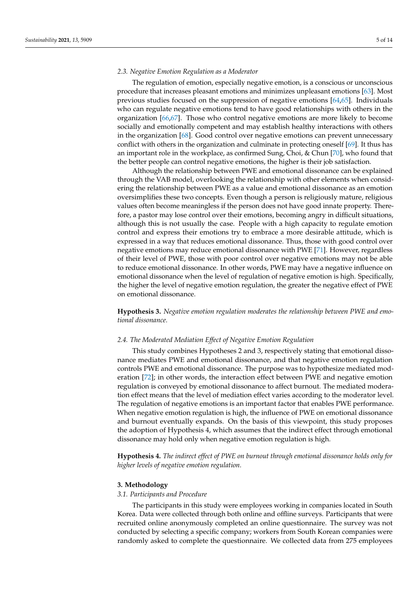## *2.3. Negative Emotion Regulation as a Moderator*

The regulation of emotion, especially negative emotion, is a conscious or unconscious procedure that increases pleasant emotions and minimizes unpleasant emotions [\[63\]](#page-12-14). Most previous studies focused on the suppression of negative emotions [\[64](#page-12-15)[,65\]](#page-12-16). Individuals who can regulate negative emotions tend to have good relationships with others in the organization [\[66](#page-12-17)[,67\]](#page-12-18). Those who control negative emotions are more likely to become socially and emotionally competent and may establish healthy interactions with others in the organization [\[68\]](#page-12-19). Good control over negative emotions can prevent unnecessary conflict with others in the organization and culminate in protecting oneself [\[69\]](#page-12-20). It thus has an important role in the workplace, as confirmed Sung, Choi, & Chun [\[70\]](#page-12-21), who found that the better people can control negative emotions, the higher is their job satisfaction.

Although the relationship between PWE and emotional dissonance can be explained through the VAB model, overlooking the relationship with other elements when considering the relationship between PWE as a value and emotional dissonance as an emotion oversimplifies these two concepts. Even though a person is religiously mature, religious values often become meaningless if the person does not have good innate property. Therefore, a pastor may lose control over their emotions, becoming angry in difficult situations, although this is not usually the case. People with a high capacity to regulate emotion control and express their emotions try to embrace a more desirable attitude, which is expressed in a way that reduces emotional dissonance. Thus, those with good control over negative emotions may reduce emotional dissonance with PWE [\[71\]](#page-12-22). However, regardless of their level of PWE, those with poor control over negative emotions may not be able to reduce emotional dissonance. In other words, PWE may have a negative influence on emotional dissonance when the level of regulation of negative emotion is high. Specifically, the higher the level of negative emotion regulation, the greater the negative effect of PWE on emotional dissonance.

**Hypothesis 3.** *Negative emotion regulation moderates the relationship between PWE and emotional dissonance.*

# *2.4. The Moderated Mediation Effect of Negative Emotion Regulation*

This study combines Hypotheses 2 and 3, respectively stating that emotional dissonance mediates PWE and emotional dissonance, and that negative emotion regulation controls PWE and emotional dissonance. The purpose was to hypothesize mediated moderation [\[72\]](#page-12-23); in other words, the interaction effect between PWE and negative emotion regulation is conveyed by emotional dissonance to affect burnout. The mediated moderation effect means that the level of mediation effect varies according to the moderator level. The regulation of negative emotions is an important factor that enables PWE performance. When negative emotion regulation is high, the influence of PWE on emotional dissonance and burnout eventually expands. On the basis of this viewpoint, this study proposes the adoption of Hypothesis 4, which assumes that the indirect effect through emotional dissonance may hold only when negative emotion regulation is high.

**Hypothesis 4.** *The indirect effect of PWE on burnout through emotional dissonance holds only for higher levels of negative emotion regulation.*

## **3. Methodology**

# *3.1. Participants and Procedure*

The participants in this study were employees working in companies located in South Korea. Data were collected through both online and offline surveys. Participants that were recruited online anonymously completed an online questionnaire. The survey was not conducted by selecting a specific company; workers from South Korean companies were randomly asked to complete the questionnaire. We collected data from 275 employees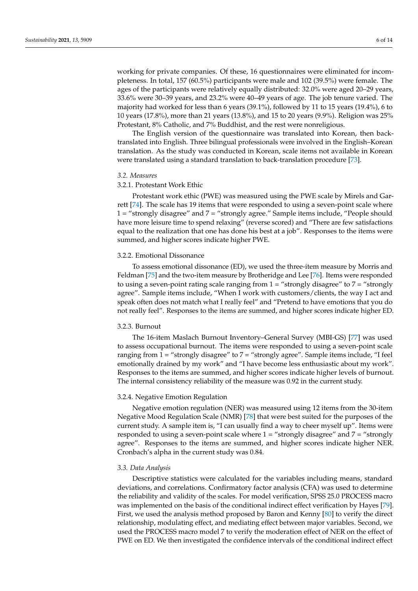working for private companies. Of these, 16 questionnaires were eliminated for incompleteness. In total, 157 (60.5%) participants were male and 102 (39.5%) were female. The ages of the participants were relatively equally distributed: 32.0% were aged 20–29 years, 33.6% were 30–39 years, and 23.2% were 40–49 years of age. The job tenure varied. The majority had worked for less than 6 years (39.1%), followed by 11 to 15 years (19.4%), 6 to 10 years (17.8%), more than 21 years (13.8%), and 15 to 20 years (9.9%). Religion was 25% Protestant, 8% Catholic, and 7% Buddhist, and the rest were nonreligious.

The English version of the questionnaire was translated into Korean, then backtranslated into English. Three bilingual professionals were involved in the English–Korean translation. As the study was conducted in Korean, scale items not available in Korean were translated using a standard translation to back-translation procedure [\[73\]](#page-12-24).

## *3.2. Measures*

# 3.2.1. Protestant Work Ethic

Protestant work ethic (PWE) was measured using the PWE scale by Mirels and Garrett [\[74\]](#page-12-25). The scale has 19 items that were responded to using a seven-point scale where 1 = "strongly disagree" and 7 = "strongly agree." Sample items include, "People should have more leisure time to spend relaxing" (reverse scored) and "There are few satisfactions equal to the realization that one has done his best at a job". Responses to the items were summed, and higher scores indicate higher PWE.

#### 3.2.2. Emotional Dissonance

To assess emotional dissonance (ED), we used the three-item measure by Morris and Feldman [\[75\]](#page-12-26) and the two-item measure by Brotheridge and Lee [\[76\]](#page-12-27). Items were responded to using a seven-point rating scale ranging from  $1 =$  "strongly disagree" to  $7 =$  "strongly agree". Sample items include, "When I work with customers/clients, the way I act and speak often does not match what I really feel" and "Pretend to have emotions that you do not really feel". Responses to the items are summed, and higher scores indicate higher ED.

# 3.2.3. Burnout

The 16-item Maslach Burnout Inventory–General Survey (MBI-GS) [\[77\]](#page-12-28) was used to assess occupational burnout. The items were responded to using a seven-point scale ranging from 1 = "strongly disagree" to 7 = "strongly agree". Sample items include, "I feel emotionally drained by my work" and "I have become less enthusiastic about my work". Responses to the items are summed, and higher scores indicate higher levels of burnout. The internal consistency reliability of the measure was 0.92 in the current study.

# 3.2.4. Negative Emotion Regulation

Negative emotion regulation (NER) was measured using 12 items from the 30-item Negative Mood Regulation Scale (NMR) [\[78\]](#page-12-29) that were best suited for the purposes of the current study. A sample item is, "I can usually find a way to cheer myself up". Items were responded to using a seven-point scale where  $1 =$  "strongly disagree" and  $7 =$  "strongly agree". Responses to the items are summed, and higher scores indicate higher NER. Cronbach's alpha in the current study was 0.84.

## *3.3. Data Analysis*

Descriptive statistics were calculated for the variables including means, standard deviations, and correlations. Confirmatory factor analysis (CFA) was used to determine the reliability and validity of the scales. For model verification, SPSS 25.0 PROCESS macro was implemented on the basis of the conditional indirect effect verification by Hayes [\[79\]](#page-13-0). First, we used the analysis method proposed by Baron and Kenny [\[80\]](#page-13-1) to verify the direct relationship, modulating effect, and mediating effect between major variables. Second, we used the PROCESS macro model 7 to verify the moderation effect of NER on the effect of PWE on ED. We then investigated the confidence intervals of the conditional indirect effect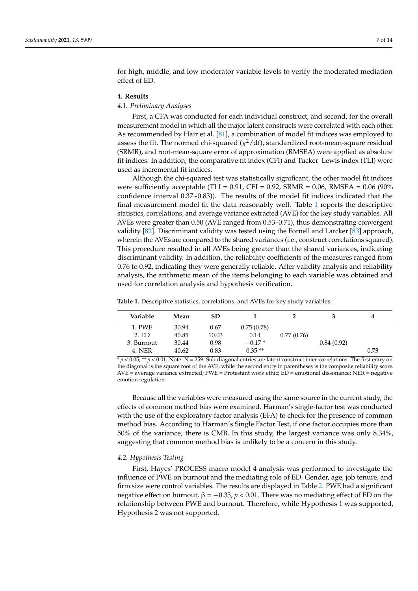for high, middle, and low moderator variable levels to verify the moderated mediation effect of ED.

## **4. Results**

# *4.1. Preliminary Analyses*

First, a CFA was conducted for each individual construct, and second, for the overall measurement model in which all the major latent constructs were correlated with each other. As recommended by Hair et al. [\[81\]](#page-13-2), a combination of model fit indices was employed to assess the fit. The normed chi-squared ( $\chi^2/\text{df}$ ), standardized root-mean-square residual (SRMR), and root-mean-square error of approximation (RMSEA) were applied as absolute fit indices. In addition, the comparative fit index (CFI) and Tucker–Lewis index (TLI) were used as incremental fit indices.

Although the chi-squared test was statistically significant, the other model fit indices were sufficiently acceptable (TLI =  $0.91$ , CFI =  $0.92$ , SRMR =  $0.06$ , RMSEA =  $0.06$  (90% confidence interval 0.37~0.83)). The results of the model fit indices indicated that the final measurement model fit the data reasonably well. Table [1](#page-6-0) reports the descriptive statistics, correlations, and average variance extracted (AVE) for the key study variables. All AVEs were greater than 0.50 (AVE ranged from 0.53–0.71), thus demonstrating convergent validity [\[82\]](#page-13-3). Discriminant validity was tested using the Fornell and Larcker [\[83\]](#page-13-4) approach, wherein the AVEs are compared to the shared variances (i.e., construct correlations squared). This procedure resulted in all AVEs being greater than the shared variances, indicating discriminant validity. In addition, the reliability coefficients of the measures ranged from 0.76 to 0.92, indicating they were generally reliable. After validity analysis and reliability analysis, the arithmetic mean of the items belonging to each variable was obtained and used for correlation analysis and hypothesis verification.

| Variable   | Mean  | <b>SD</b> |            |            |            | 4    |
|------------|-------|-----------|------------|------------|------------|------|
| 1. PWE     | 30.94 | 0.67      | 0.75(0.78) |            |            |      |
| 2. ED      | 40.85 | 10.03     | 0.14       | 0.77(0.76) |            |      |
| 3. Burnout | 30.44 | 0.98      | $-0.17*$   |            | 0.84(0.92) |      |
| 4. NER     | 40.62 | 0.83      | $0.35**$   |            |            | 0.73 |

<span id="page-6-0"></span>**Table 1.** Descriptive statistics, correlations, and AVEs for key study variables.

\* *p* < 0.05; \*\* *p* < 0.01. Note: *N* = 259. Sub-diagonal entries are latent construct inter-correlations. The first entry on the diagonal is the square root of the AVE, while the second entry in parentheses is the composite reliability score. AVE = average variance extracted; PWE = Protestant work ethic; ED = emotional dissonance; NER = negative emotion regulation.

Because all the variables were measured using the same source in the current study, the effects of common method bias were examined. Harman's single-factor test was conducted with the use of the exploratory factor analysis (EFA) to check for the presence of common method bias. According to Harman's Single Factor Test, if one factor occupies more than 50% of the variance, there is CMB. In this study, the largest variance was only 8.34%, suggesting that common method bias is unlikely to be a concern in this study.

# *4.2. Hypothesis Testing*

First, Hayes' PROCESS macro model 4 analysis was performed to investigate the influence of PWE on burnout and the mediating role of ED. Gender, age, job tenure, and firm size were control variables. The results are displayed in Table [2.](#page-7-0) PWE had a significant negative effect on burnout,  $\beta = -0.33$ ,  $p < 0.01$ . There was no mediating effect of ED on the relationship between PWE and burnout. Therefore, while Hypothesis 1 was supported, Hypothesis 2 was not supported.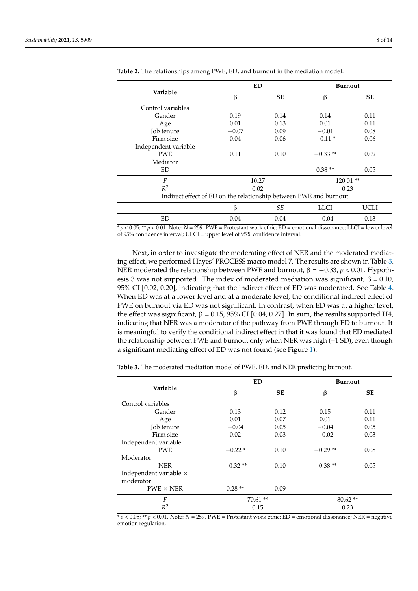|                                                                   | <b>ED</b> |           | <b>Burnout</b> |           |  |
|-------------------------------------------------------------------|-----------|-----------|----------------|-----------|--|
| Variable                                                          | β         | <b>SE</b> | β              | <b>SE</b> |  |
| Control variables                                                 |           |           |                |           |  |
| Gender                                                            | 0.19      | 0.14      | 0.14           | 0.11      |  |
| Age                                                               | 0.01      | 0.13      | 0.01           | 0.11      |  |
| Job tenure                                                        | $-0.07$   | 0.09      | $-0.01$        | 0.08      |  |
| Firm size                                                         | 0.04      | 0.06      | $-0.11*$       | 0.06      |  |
| Independent variable                                              |           |           |                |           |  |
| <b>PWE</b>                                                        | 0.11      | 0.10      | $-0.33**$      | 0.09      |  |
| Mediator                                                          |           |           |                |           |  |
| ED                                                                |           |           | $0.38**$       | 0.05      |  |
| F                                                                 | 10.27     |           | $120.01$ **    |           |  |
| $R^2$                                                             | 0.02      |           | 0.23           |           |  |
| Indirect effect of ED on the relationship between PWE and burnout |           |           |                |           |  |
|                                                                   | $\beta$   | SЕ        | LLCI           | UCLI      |  |
| ED                                                                | 0.04      | 0.04      | $-0.04$        | 0.13      |  |

<span id="page-7-0"></span>

| Table 2. The relationships among PWE, ED, and burnout in the mediation model. |  |
|-------------------------------------------------------------------------------|--|
|-------------------------------------------------------------------------------|--|

\* *p* < 0.05; \*\* *p* < 0.01. Note: *N* = 259. PWE = Protestant work ethic; ED = emotional dissonance; LLCI = lower level of 95% confidence interval; ULCI = upper level of 95% confidence interval.

Next, in order to investigate the moderating effect of NER and the moderated mediating effect, we performed Hayes' PROCESS macro model 7. The results are shown in Table [3.](#page-7-1) NER moderated the relationship between PWE and burnout,  $β = -0.33$ ,  $p < 0.01$ . Hypothesis 3 was not supported. The index of moderated mediation was significant,  $β = 0.10$ , 95% CI [0.02, 0.20], indicating that the indirect effect of ED was moderated. See Table [4.](#page-8-0) When ED was at a lower level and at a moderate level, the conditional indirect effect of PWE on burnout via ED was not significant. In contrast, when ED was at a higher level, the effect was significant,  $β = 0.15, 95%$  CI [0.04, 0.27]. In sum, the results supported H4, indicating that NER was a moderator of the pathway from PWE through ED to burnout. It is meaningful to verify the conditional indirect effect in that it was found that ED mediated the relationship between PWE and burnout only when NER was high (+1 SD), even though a significant mediating effect of ED was not found (see Figure [1\)](#page-8-1).

<span id="page-7-1"></span>**Table 3.** The moderated mediation model of PWE, ED, and NER predicting burnout.

|                               | <b>ED</b> |           | <b>Burnout</b> |           |
|-------------------------------|-----------|-----------|----------------|-----------|
| Variable                      | ß         | <b>SE</b> | β              | <b>SE</b> |
| Control variables             |           |           |                |           |
| Gender                        | 0.13      | 0.12      | 0.15           | 0.11      |
| Age                           | 0.01      | 0.07      | 0.01           | 0.11      |
| Job tenure                    | $-0.04$   | 0.05      | $-0.04$        | 0.05      |
| Firm size                     | 0.02      | 0.03      | $-0.02$        | 0.03      |
| Independent variable          |           |           |                |           |
| <b>PWE</b>                    | $-0.22*$  | 0.10      | $-0.29**$      | 0.08      |
| Moderator                     |           |           |                |           |
| <b>NER</b>                    | $-0.32**$ | 0.10      | $-0.38**$      | 0.05      |
| Independent variable $\times$ |           |           |                |           |
| moderator                     |           |           |                |           |
| $PWE \times NER$              | $0.28**$  | 0.09      |                |           |
| F                             | $70.61**$ |           | $80.62**$      |           |
| $R^2$                         | 0.15      |           | 0.23           |           |

 $* p < 0.05$ ;  $** p < 0.01$ . Note:  $N = 259$ . PWE = Protestant work ethic; ED = emotional dissonance; NER = negative emotion regulation.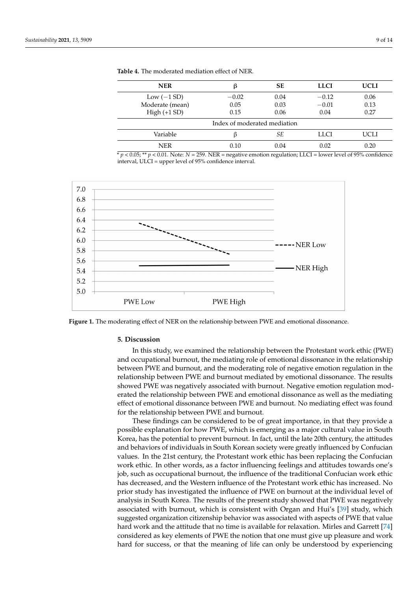| <b>NER</b>                   | ß       | <b>SE</b> | <b>LLCI</b> | <b>UCLI</b> |  |
|------------------------------|---------|-----------|-------------|-------------|--|
| Low $(-1 SD)$                | $-0.02$ | 0.04      | $-0.12$     | 0.06        |  |
| Moderate (mean)              | 0.05    | 0.03      | $-0.01$     | 0.13        |  |
| $High (+1 SD)$               | 0.15    | 0.06      | 0.04        | 0.27        |  |
| Index of moderated mediation |         |           |             |             |  |
| Variable                     |         | SЕ        | LLCI        | UCLI        |  |
| <b>NER</b>                   | 0.10    | 0.04      | 0.02        | 0.20        |  |

<span id="page-8-0"></span>**Table 4.** The moderated mediation effect of NER.

\* *p* < 0.05; \*\* *p* < 0.01. Note: *N* = 259. NER = negative emotion regulation; LLCI = lower level of 95% confidence interval, ULCI = upper level of 95% confidence interval.

<span id="page-8-1"></span>

**Figure 1.** The moderating effect of NER on the relationship between PWE and emotional dissonance.

## **5. Discussion**

In this study, we examined the relationship between the Protestant work ethic (PWE) and occupational burnout, the mediating role of emotional dissonance in the relationship between PWE and burnout, and the moderating role of negative emotion regulation in the relationship between PWE and burnout mediated by emotional dissonance. The results showed PWE was negatively associated with burnout. Negative emotion regulation moderated the relationship between PWE and emotional dissonance as well as the mediating effect of emotional dissonance between PWE and burnout. No mediating effect was found for the relationship between PWE and burnout.

These findings can be considered to be of great importance, in that they provide a possible explanation for how PWE, which is emerging as a major cultural value in South Korea, has the potential to prevent burnout. In fact, until the late 20th century, the attitudes and behaviors of individuals in South Korean society were greatly influenced by Confucian values. In the 21st century, the Protestant work ethic has been replacing the Confucian work ethic. In other words, as a factor influencing feelings and attitudes towards one's job, such as occupational burnout, the influence of the traditional Confucian work ethic has decreased, and the Western influence of the Protestant work ethic has increased. No prior study has investigated the influence of PWE on burnout at the individual level of analysis in South Korea. The results of the present study showed that PWE was negatively associated with burnout, which is consistent with Organ and Hui's [\[39\]](#page-11-28) study, which suggested organization citizenship behavior was associated with aspects of PWE that value hard work and the attitude that no time is available for relaxation. Mirles and Garrett [\[74\]](#page-12-25) considered as key elements of PWE the notion that one must give up pleasure and work hard for success, or that the meaning of life can only be understood by experiencing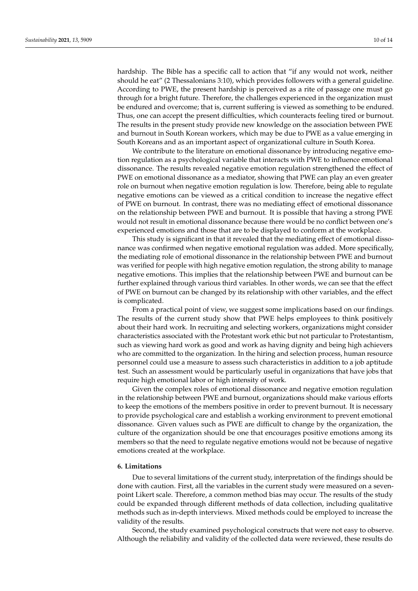hardship. The Bible has a specific call to action that "if any would not work, neither should he eat" (2 Thessalonians 3:10), which provides followers with a general guideline. According to PWE, the present hardship is perceived as a rite of passage one must go through for a bright future. Therefore, the challenges experienced in the organization must be endured and overcome; that is, current suffering is viewed as something to be endured. Thus, one can accept the present difficulties, which counteracts feeling tired or burnout. The results in the present study provide new knowledge on the association between PWE and burnout in South Korean workers, which may be due to PWE as a value emerging in South Koreans and as an important aspect of organizational culture in South Korea.

We contribute to the literature on emotional dissonance by introducing negative emotion regulation as a psychological variable that interacts with PWE to influence emotional dissonance. The results revealed negative emotion regulation strengthened the effect of PWE on emotional dissonance as a mediator, showing that PWE can play an even greater role on burnout when negative emotion regulation is low. Therefore, being able to regulate negative emotions can be viewed as a critical condition to increase the negative effect of PWE on burnout. In contrast, there was no mediating effect of emotional dissonance on the relationship between PWE and burnout. It is possible that having a strong PWE would not result in emotional dissonance because there would be no conflict between one's experienced emotions and those that are to be displayed to conform at the workplace.

This study is significant in that it revealed that the mediating effect of emotional dissonance was confirmed when negative emotional regulation was added. More specifically, the mediating role of emotional dissonance in the relationship between PWE and burnout was verified for people with high negative emotion regulation, the strong ability to manage negative emotions. This implies that the relationship between PWE and burnout can be further explained through various third variables. In other words, we can see that the effect of PWE on burnout can be changed by its relationship with other variables, and the effect is complicated.

From a practical point of view, we suggest some implications based on our findings. The results of the current study show that PWE helps employees to think positively about their hard work. In recruiting and selecting workers, organizations might consider characteristics associated with the Protestant work ethic but not particular to Protestantism, such as viewing hard work as good and work as having dignity and being high achievers who are committed to the organization. In the hiring and selection process, human resource personnel could use a measure to assess such characteristics in addition to a job aptitude test. Such an assessment would be particularly useful in organizations that have jobs that require high emotional labor or high intensity of work.

Given the complex roles of emotional dissonance and negative emotion regulation in the relationship between PWE and burnout, organizations should make various efforts to keep the emotions of the members positive in order to prevent burnout. It is necessary to provide psychological care and establish a working environment to prevent emotional dissonance. Given values such as PWE are difficult to change by the organization, the culture of the organization should be one that encourages positive emotions among its members so that the need to regulate negative emotions would not be because of negative emotions created at the workplace.

## **6. Limitations**

Due to several limitations of the current study, interpretation of the findings should be done with caution. First, all the variables in the current study were measured on a sevenpoint Likert scale. Therefore, a common method bias may occur. The results of the study could be expanded through different methods of data collection, including qualitative methods such as in-depth interviews. Mixed methods could be employed to increase the validity of the results.

Second, the study examined psychological constructs that were not easy to observe. Although the reliability and validity of the collected data were reviewed, these results do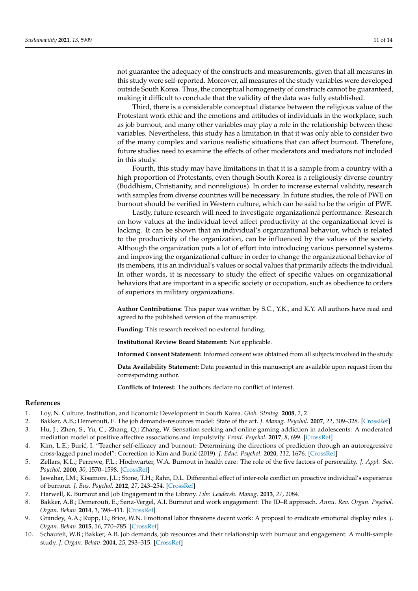not guarantee the adequacy of the constructs and measurements, given that all measures in this study were self-reported. Moreover, all measures of the study variables were developed outside South Korea. Thus, the conceptual homogeneity of constructs cannot be guaranteed, making it difficult to conclude that the validity of the data was fully established.

Third, there is a considerable conceptual distance between the religious value of the Protestant work ethic and the emotions and attitudes of individuals in the workplace, such as job burnout, and many other variables may play a role in the relationship between these variables. Nevertheless, this study has a limitation in that it was only able to consider two of the many complex and various realistic situations that can affect burnout. Therefore, future studies need to examine the effects of other moderators and mediators not included in this study.

Fourth, this study may have limitations in that it is a sample from a country with a high proportion of Protestants, even though South Korea is a religiously diverse country (Buddhism, Christianity, and nonreligious). In order to increase external validity, research with samples from diverse countries will be necessary. In future studies, the role of PWE on burnout should be verified in Western culture, which can be said to be the origin of PWE.

Lastly, future research will need to investigate organizational performance. Research on how values at the individual level affect productivity at the organizational level is lacking. It can be shown that an individual's organizational behavior, which is related to the productivity of the organization, can be influenced by the values of the society. Although the organization puts a lot of effort into introducing various personnel systems and improving the organizational culture in order to change the organizational behavior of its members, it is an individual's values or social values that primarily affects the individual. In other words, it is necessary to study the effect of specific values on organizational behaviors that are important in a specific society or occupation, such as obedience to orders of superiors in military organizations.

**Author Contributions:** This paper was written by S.C., Y.K., and K.Y. All authors have read and agreed to the published version of the manuscript.

**Funding:** This research received no external funding.

**Institutional Review Board Statement:** Not applicable.

**Informed Consent Statement:** Informed consent was obtained from all subjects involved in the study.

**Data Availability Statement:** Data presented in this manuscript are available upon request from the corresponding author.

**Conflicts of Interest:** The authors declare no conflict of interest.

## **References**

- <span id="page-10-0"></span>1. Loy, N. Culture, Institution, and Economic Development in South Korea. *Glob. Strateg.* **2008**, *2*, 2.
- <span id="page-10-1"></span>2. Bakker, A.B.; Demerouti, E. The job demands-resources model: State of the art. *J. Manag. Psychol.* **2007**, *22*, 309–328. [\[CrossRef\]](http://doi.org/10.1108/02683940710733115)
- <span id="page-10-2"></span>3. Hu, J.; Zhen, S.; Yu, C.; Zhang, Q.; Zhang, W. Sensation seeking and online gaming addiction in adolescents: A moderated mediation model of positive affective associations and impulsivity. *Front. Psychol.* **2017**, *8*, 699. [\[CrossRef\]](http://doi.org/10.3389/fpsyg.2017.00699)
- <span id="page-10-3"></span>4. Kim, L.E.; Burić, I. "Teacher self-efficacy and burnout: Determining the directions of prediction through an autoregressive cross-lagged panel model": Correction to Kim and Burić (2019). *J. Educ. Psychol.* 2020, 112, 1676. [\[CrossRef\]](http://doi.org/10.1037/edu0000642)
- <span id="page-10-4"></span>5. Zellars, K.L.; Perrewe, P.L.; Hochwarter, W.A. Burnout in health care: The role of the five factors of personality. *J. Appl. Soc. Psychol.* **2000**, *30*, 1570–1598. [\[CrossRef\]](http://doi.org/10.1111/j.1559-1816.2000.tb02456.x)
- <span id="page-10-5"></span>6. Jawahar, I.M.; Kisamore, J.L.; Stone, T.H.; Rahn, D.L. Differential effect of inter-role conflict on proactive individual's experience of burnout. *J. Bus. Psychol.* **2012**, *27*, 243–254. [\[CrossRef\]](http://doi.org/10.1007/s10869-011-9234-5)
- <span id="page-10-6"></span>7. Harwell, K. Burnout and Job Engagement in the Library. *Libr. Leadersh. Manag.* **2013**, *27*, 2084.
- <span id="page-10-7"></span>8. Bakker, A.B.; Demerouti, E.; Sanz-Vergel, A.I. Burnout and work engagement: The JD–R approach. *Annu. Rev. Organ. Psychol. Organ. Behav.* **2014**, *1*, 398–411. [\[CrossRef\]](http://doi.org/10.1146/annurev-orgpsych-031413-091235)
- <span id="page-10-8"></span>9. Grandey, A.A.; Rupp, D.; Brice, W.N. Emotional labor threatens decent work: A proposal to eradicate emotional display rules. *J. Organ. Behav.* **2015**, *36*, 770–785. [\[CrossRef\]](http://doi.org/10.1002/job.2020)
- <span id="page-10-9"></span>10. Schaufeli, W.B.; Bakker, A.B. Job demands, job resources and their relationship with burnout and engagement: A multi-sample study. *J. Organ. Behav.* **2004**, *25*, 293–315. [\[CrossRef\]](http://doi.org/10.1002/job.248)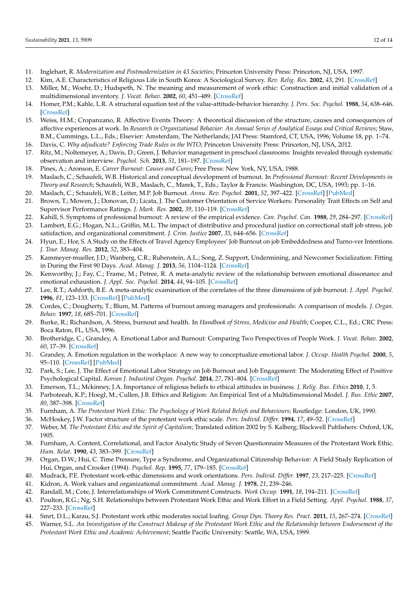- <span id="page-11-0"></span>11. Inglehart, R. *Modernization and Postmodernization in 43 Societies*; Princeton University Press: Princeton, NJ, USA, 1997.
- <span id="page-11-1"></span>12. Kim, A.E. Characteristics of Religious Life in South Korea: A Sociological Survey. *Rev. Relig. Res.* **2002**, *43*, 291. [\[CrossRef\]](http://doi.org/10.2307/3512000)
- <span id="page-11-2"></span>13. Miller, M.; Woehr, D.; Hudspeth, N. The meaning and measurement of work ethic: Construction and initial validation of a multidimensional inventory. *J. Vocat. Behav.* **2002**, *60*, 451–489. [\[CrossRef\]](http://doi.org/10.1006/jvbe.2001.1838)
- <span id="page-11-3"></span>14. Homer, P.M.; Kahle, L.R. A structural equation test of the value-attitude-behavior hierarchy. *J. Pers. Soc. Psychol.* **1988**, *54*, 638–646. [\[CrossRef\]](http://doi.org/10.1037/0022-3514.54.4.638)
- <span id="page-11-4"></span>15. Weiss, H.M.; Cropanzano, R. Affective Events Theory: A theoretical discussion of the structure, causes and consequences of affective experiences at work. In *Research in Organizational Behavior: An Annual Series of Analytical Essays and Critical Reviews*; Staw, B.M., Cummings, L.L., Eds.; Elsevier: Amsterdam, The Netherlands; JAI Press: Stamford, CT, USA, 1996; Volume 18, pp. 1–74.
- <span id="page-11-6"></span><span id="page-11-5"></span>16. Davis, C. *Why adjudicate? Enforcing Trade Rules in the WTO*; Princeton University Press: Princeton, NJ, USA, 2012. 17. Ritz, M.; Noltemeyer, A.; Davis, D.; Green, J. Behavior management in preschool classrooms: Insights revealed through systematic observation and interview. *Psychol. Sch.* **2013**, *51*, 181–197. [\[CrossRef\]](http://doi.org/10.1002/pits.21744)
- <span id="page-11-7"></span>18. Pines, A.; Aronson, E. *Career Burnout: Causes and Cures*; Free Press: New York, NY, USA, 1988.
- <span id="page-11-8"></span>19. Maslach, C.; Schaufeli, W.B. Historical and conceptual development of burnout. In *Professional Burnout: Recent Developments in Theory and Research*; Schaufeli, W.B., Maslach, C., Marek, T., Eds.; Taylor & Francis: Washington, DC, USA, 1993; pp. 1–16.
- <span id="page-11-9"></span>20. Maslach, C.; Schaufeli, W.B.; Leiter, M.P. Job Burnout. *Annu. Rev. Psychol.* **2001**, *52*, 397–422. [\[CrossRef\]](http://doi.org/10.1146/annurev.psych.52.1.397) [\[PubMed\]](http://www.ncbi.nlm.nih.gov/pubmed/11148311)
- <span id="page-11-10"></span>21. Brown, T.; Mowen, J.; Donovan, D.; Licata, J. The Customer Orientation of Service Workers: Personality Trait Effects on Self and Supervisor Performance Ratings. *J. Mark. Res.* **2002**, *39*, 110–119. [\[CrossRef\]](http://doi.org/10.1509/jmkr.39.1.110.18928)
- <span id="page-11-12"></span><span id="page-11-11"></span>22. Kahill, S. Symptoms of professional burnout: A review of the empirical evidence. *Can. Psychol. Can.* **1988**, *29*, 284–297. [\[CrossRef\]](http://doi.org/10.1037/h0079772) 23. Lambert, E.G.; Hogan, N.L.; Griffin, M.L. The impact of distributive and procedural justice on correctional staff job stress, job satisfaction, and organizational commitment. *J. Crim. Justice* **2007**, *35*, 644–656. [\[CrossRef\]](http://doi.org/10.1016/j.jcrimjus.2007.09.001)
- <span id="page-11-13"></span>24. Hyun, E.; Hor, S. A Study on the Effects of Travel Agency Employees' Job Burnout on job Embeddedness and Turno-ver Intentions. *J. Tour. Manag. Res.* **2012**, *52*, 383–404.
- <span id="page-11-14"></span>25. Kammeyer-mueller, J.D.; Wanberg, C.R.; Rubenstein, A.L.; Song, Z. Support, Undermining, and Newcomer Socialization: Fitting in During the First 90 Days. *Acad. Manag. J.* **2013**, *56*, 1104–1124. [\[CrossRef\]](http://doi.org/10.5465/amj.2010.0791)
- <span id="page-11-15"></span>26. Kenworthy, J.; Fay, C.; Frame, M.; Petree, R. A meta-analytic review of the relationship between emotional dissonance and emotional exhaustion. *J. Appl. Soc. Psychol.* **2014**, *44*, 94–105. [\[CrossRef\]](http://doi.org/10.1111/jasp.12211)
- <span id="page-11-16"></span>27. Lee, R.T.; Ashforth, B.E. A meta-analytic examination of the correlates of the three dimensions of job burnout. *J. Appl. Psychol.* **1996**, *81*, 123–133. [\[CrossRef\]](http://doi.org/10.1037/0021-9010.81.2.123) [\[PubMed\]](http://www.ncbi.nlm.nih.gov/pubmed/8603909)
- <span id="page-11-17"></span>28. Cordes, C.; Dougherty, T.; Blum, M. Patterns of burnout among managers and professionals: A comparison of models. *J. Organ. Behav.* **1997**, *18*, 685–701. [\[CrossRef\]](http://doi.org/10.1002/(SICI)1099-1379(199711)18:6<685::AID-JOB817>3.0.CO;2-U)
- <span id="page-11-18"></span>29. Burke, R.; Richardson, A. Stress, burnout and health. In *Handbook of Stress, Medicine and Health*; Cooper, C.L., Ed.; CRC Press: Boca Raton, FL, USA, 1996.
- <span id="page-11-19"></span>30. Brotheridge, C.; Grandey, A. Emotional Labor and Burnout: Comparing Two Perspectives of People Work. *J. Vocat. Behav.* **2002**, *60*, 17–39. [\[CrossRef\]](http://doi.org/10.1006/jvbe.2001.1815)
- <span id="page-11-20"></span>31. Grandey, A. Emotion regulation in the workplace: A new way to conceptualize emotional labor. *J. Occup. Health Psychol.* **2000**, *5*, 95–110. [\[CrossRef\]](http://doi.org/10.1037/1076-8998.5.1.95) [\[PubMed\]](http://www.ncbi.nlm.nih.gov/pubmed/10658889)
- <span id="page-11-21"></span>32. Park, S.; Lee, J. The Effect of Emotional Labor Strategy on Job Burnout and Job Engagement: The Moderating Effect of Positive Psychological Capital. *Korean J. Industiral Organ. Psychol.* **2014**, *27*, 781–804. [\[CrossRef\]](http://doi.org/10.24230/kjiop.v27i4.781-804)
- <span id="page-11-22"></span>33. Emerson, T.L.; Mckinney, J.A. Importance of religious beliefs to ethical attitudes in business. *J. Relig. Bus. Ethics* **2010**, *1*, 5.
- <span id="page-11-23"></span>34. Parboteeah, K.P.; Hoegl, M.; Cullen, J.B. Ethics and Religion: An Empirical Test of a Multidimensional Model. *J. Bus. Ethic* **2007**, *80*, 387–398. [\[CrossRef\]](http://doi.org/10.1007/s10551-007-9439-8)
- <span id="page-11-24"></span>35. Furnham, A. *The Protestant Work Ethic: The Psychology of Work Related Beliefs and Behaviours*; Routledge: London, UK, 1990.
- <span id="page-11-25"></span>36. McHoskey, J.W. Factor structure of the protestant work ethic scale. *Pers. Individ. Differ.* **1994**, *17*, 49–52. [\[CrossRef\]](http://doi.org/10.1016/0191-8869(94)90260-7)
- <span id="page-11-26"></span>37. Weber, M. *The Protestant Ethic and the Spirit of Capitalism*; Translated edition 2002 by S. Kalberg; Blackwell Publishers: Oxford, UK, 1905.
- <span id="page-11-27"></span>38. Furnham, A. Content, Correlational, and Factor Analytic Study of Seven Questionnaire Measures of the Protestant Work Ethic. *Hum. Relat.* **1990**, *43*, 383–399. [\[CrossRef\]](http://doi.org/10.1177/001872679004300406)
- <span id="page-11-28"></span>39. Organ, D.W.; Hui, C. Time Pressure, Type a Syndrome, and Organizational Citizenship Behavior: A Field Study Replication of Hui, Organ, and Crooker (1994). *Psychol. Rep.* **1995**, *77*, 179–185. [\[CrossRef\]](http://doi.org/10.2466/pr0.1995.77.1.179)
- <span id="page-11-29"></span>40. Mudrack, P.E. Protestant work-ethic dimensions and work orientations. *Pers. Individ. Differ.* **1997**, *23*, 217–225. [\[CrossRef\]](http://doi.org/10.1016/S0191-8869(97)00041-X)
- 41. Kidron, A. Work values and organizational commitment. *Acad. Manag. J.* **1978**, *21*, 239–246.
- <span id="page-11-30"></span>42. Randall, M.; Cote, J. Interrelationships of Work Commitment Constructs. *Work Occup.* **1991**, *18*, 194–211. [\[CrossRef\]](http://doi.org/10.1177/0730888491018002004)
- <span id="page-11-31"></span>43. Poulton, R.G.; Ng, S.H. Relationships between Protestant Work Ethic and Work Effort in a Field Setting. *Appl. Psychol.* **1988**, *37*, 227–233. [\[CrossRef\]](http://doi.org/10.1111/j.1464-0597.1988.tb01138.x)
- <span id="page-11-32"></span>44. Smrt, D.L.; Karau, S.J. Protestant work ethic moderates social loafing. *Group Dyn. Theory Res. Pract.* **2011**, *15*, 267–274. [\[CrossRef\]](http://doi.org/10.1037/a0024484)
- <span id="page-11-33"></span>45. Warner, S.L. *An Investigation of the Construct Makeup of the Protestant Work Ethic and the Relationship between Endorsement of the Protestant Work Ethic and Academic Achievement*; Seattle Pacific University: Seattle, WA, USA, 1999.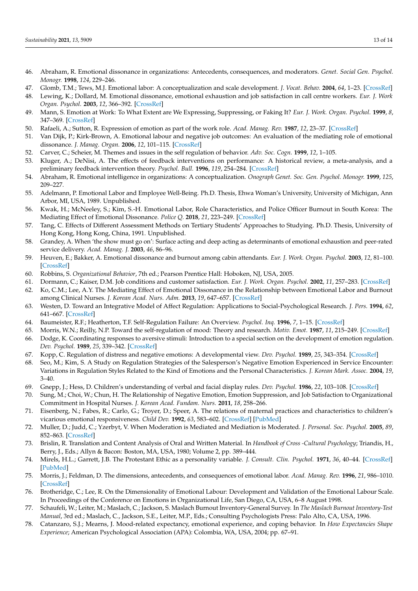- <span id="page-12-0"></span>46. Abraham, R. Emotional dissonance in organizations: Antecedents, consequences, and moderators. *Genet. Social Gen. Psychol. Monogr.* **1998**, *124*, 229–246.
- 47. Glomb, T.M.; Tews, M.J. Emotional labor: A conceptualization and scale development. *J. Vocat. Behav.* **2004**, *64*, 1–23. [\[CrossRef\]](http://doi.org/10.1016/S0001-8791(03)00038-1)
- <span id="page-12-10"></span>48. Lewing, K.; Dollard, M. Emotional dissonance, emotional exhaustion and job satisfaction in call centre workers. *Eur. J. Work Organ. Psychol.* **2003**, *12*, 366–392. [\[CrossRef\]](http://doi.org/10.1080/13594320344000200)
- 49. Mann, S. Emotion at Work: To What Extent are We Expressing, Suppressing, or Faking It? *Eur. J. Work. Organ. Psychol.* **1999**, *8*, 347–369. [\[CrossRef\]](http://doi.org/10.1080/135943299398221)
- 50. Rafaeli, A.; Sutton, R. Expression of emotion as part of the work role. *Acad. Manag. Rev.* **1987**, *12*, 23–37. [\[CrossRef\]](http://doi.org/10.5465/amr.1987.4306444)
- <span id="page-12-1"></span>51. Van Dijk, P.; Kirk-Brown, A. Emotional labour and negative job outcomes: An evaluation of the mediating role of emotional dissonance. *J. Manag. Organ.* **2006**, *12*, 101–115. [\[CrossRef\]](http://doi.org/10.5172/jmo.2006.12.2.101)
- <span id="page-12-2"></span>52. Carver, C.; Scheier, M. Themes and issues in the self regulation of behavior. *Adv. Soc. Cogn.* **1999**, *12*, 1–105.
- <span id="page-12-3"></span>53. Kluger, A.; DeNisi, A. The effects of feedback interventions on performance: A historical review, a meta-analysis, and a preliminary feedback intervention theory. *Psychol. Bull.* **1996**, *119*, 254–284. [\[CrossRef\]](http://doi.org/10.1037/0033-2909.119.2.254)
- <span id="page-12-4"></span>54. Abraham, R. Emotional intelligence in organizations: A conceptualization. *Onograph Genet. Soc. Gen. Psychol. Monogr.* **1999**, *125*, 209–227.
- <span id="page-12-5"></span>55. Adelmann, P. Emotional Labor and Employee Well-Being. Ph.D. Thesis, Ehwa Woman's University, University of Michigan, Ann Arbor, MI, USA, 1989. Unpublished.
- <span id="page-12-6"></span>56. Kwak, H.; McNeeley, S.; Kim, S.-H. Emotional Labor, Role Characteristics, and Police Officer Burnout in South Korea: The Mediating Effect of Emotional Dissonance. *Police Q.* **2018**, *21*, 223–249. [\[CrossRef\]](http://doi.org/10.1177/1098611118757230)
- <span id="page-12-7"></span>57. Tang, C. Effects of Different Assessment Methods on Tertiary Students' Approaches to Studying. Ph.D. Thesis, University of Hong Kong, Hong Kong, China, 1991. Unpublished.
- <span id="page-12-8"></span>58. Grandey, A. When 'the show must go on': Surface acting and deep acting as determinants of emotional exhaustion and peer-rated service delivery. *Acad. Manag. J.* **2003**, *46*, 86–96.
- <span id="page-12-9"></span>59. Heuven, E.; Bakker, A. Emotional dissonance and burnout among cabin attendants. *Eur. J. Work. Organ. Psychol.* **2003**, *12*, 81–100. [\[CrossRef\]](http://doi.org/10.1080/13594320344000039)
- <span id="page-12-11"></span>60. Robbins, S. *Organizational Behavior*, 7th ed.; Pearson Prentice Hall: Hoboken, NJ, USA, 2005.
- <span id="page-12-12"></span>61. Dormann, C.; Kaiser, D.M. Job conditions and customer satisfaction. *Eur. J. Work. Organ. Psychol.* **2002**, *11*, 257–283. [\[CrossRef\]](http://doi.org/10.1080/13594320244000166)
- <span id="page-12-13"></span>62. Ko, C.M.; Lee, A.Y. The Mediating Effect of Emotional Dissonance in the Relationship between Emotional Labor and Burnout among Clinical Nurses. *J. Korean Acad. Nurs. Adm.* **2013**, *19*, 647–657. [\[CrossRef\]](http://doi.org/10.11111/jkana.2013.19.5.647)
- <span id="page-12-14"></span>63. Westen, D. Toward an Integrative Model of Affect Regulation: Applications to Social-Psychological Research. *J. Pers.* **1994**, *62*, 641–667. [\[CrossRef\]](http://doi.org/10.1111/j.1467-6494.1994.tb00312.x)
- <span id="page-12-15"></span>64. Baumeister, R.F.; Heatherton, T.F. Self-Regulation Failure: An Overview. *Psychol. Inq.* **1996**, *7*, 1–15. [\[CrossRef\]](http://doi.org/10.1207/s15327965pli0701_1)
- <span id="page-12-16"></span>65. Morris, W.N.; Reilly, N.P. Toward the self-regulation of mood: Theory and research. *Motiv. Emot.* **1987**, *11*, 215–249. [\[CrossRef\]](http://doi.org/10.1007/BF01001412)
- <span id="page-12-17"></span>66. Dodge, K. Coordinating responses to aversive stimuli: Introduction to a special section on the development of emotion regulation. *Dev. Psychol.* **1989**, *25*, 339–342. [\[CrossRef\]](http://doi.org/10.1037/0012-1649.25.3.339)
- <span id="page-12-18"></span>67. Kopp, C. Regulation of distress and negative emotions: A developmental view. *Dev. Psychol.* **1989**, *25*, 343–354. [\[CrossRef\]](http://doi.org/10.1037/0012-1649.25.3.343)
- <span id="page-12-19"></span>68. Seo, M.; Kim, S. A Study on Regulation Strategies of the Salesperson's Negative Emotion Experienced in Service Encounter: Variations in Regulation Styles Related to the Kind of Emotions and the Personal Characteristics. *J. Korean Mark. Assoc.* **2004**, *19*,  $3-40.$
- <span id="page-12-20"></span>69. Gnepp, J.; Hess, D. Children's understanding of verbal and facial display rules. *Dev. Psychol.* **1986**, *22*, 103–108. [\[CrossRef\]](http://doi.org/10.1037/0012-1649.22.1.103)
- <span id="page-12-21"></span>70. Sung, M.; Choi, W.; Chun, H. The Relationship of Negative Emotion, Emotion Suppression, and Job Satisfaction to Organizational Commitment in Hospital Nurses. *J. Korean Acad. Fundam. Nurs.* **2011**, *18*, 258–266.
- <span id="page-12-22"></span>71. Eisenberg, N.; Fabes, R.; Carlo, G.; Troyer, D.; Speer, A. The relations of maternal practices and characteristics to children's vicarious emotional responsiveness. *Child Dev.* **1992**, *63*, 583–602. [\[CrossRef\]](http://doi.org/10.2307/1131348) [\[PubMed\]](http://www.ncbi.nlm.nih.gov/pubmed/1600824)
- <span id="page-12-23"></span>72. Muller, D.; Judd, C.; Yzerbyt, V. When Moderation is Mediated and Mediation is Moderated. *J. Personal. Soc. Psychol.* **2005**, *89*, 852–863. [\[CrossRef\]](http://doi.org/10.1037/0022-3514.89.6.852)
- <span id="page-12-24"></span>73. Brislin, R. Translation and Content Analysis of Oral and Written Material. In *Handbook of Cross -Cultural Psychology*; Triandis, H., Berry, J., Eds.; Allyn & Bacon: Boston, MA, USA, 1980; Volume 2, pp. 389–444.
- <span id="page-12-25"></span>74. Mirels, H.L.; Garrett, J.B. The Protestant Ethic as a personality variable. *J. Consult. Clin. Psychol.* **1971**, *36*, 40–44. [\[CrossRef\]](http://doi.org/10.1037/h0030477) [\[PubMed\]](http://www.ncbi.nlm.nih.gov/pubmed/5542480)
- <span id="page-12-26"></span>75. Morris, J.; Feldman, D. The dimensions, antecedents, and consequences of emotional labor. *Acad. Manag. Rev.* **1996**, *21*, 986–1010. [\[CrossRef\]](http://doi.org/10.5465/amr.1996.9704071861)
- <span id="page-12-27"></span>76. Brotheridge, C.; Lee, R. On the Dimensionality of Emotional Labour: Development and Validation of the Emotional Labour Scale. In Proceedings of the Conference on Emotions in Organizational Life, San Diego, CA, USA, 6–8 August 1998.
- <span id="page-12-28"></span>77. Schaufeli, W.; Leiter, M.; Maslach, C.; Jackson, S. Maslach Burnout Inventory-General Survey. In *The Maslach Burnout Inventory-Test Manual*, 3rd ed.; Maslach, C., Jackson, S.E., Leiter, M.P., Eds.; Consulting Psychologists Press: Palo Alto, CA, USA, 1996.
- <span id="page-12-29"></span>78. Catanzaro, S.J.; Mearns, J. Mood-related expectancy, emotional experience, and coping behavior. In *How Expectancies Shape Experience*; American Psychological Association (APA): Colombia, WA, USA, 2004; pp. 67–91.